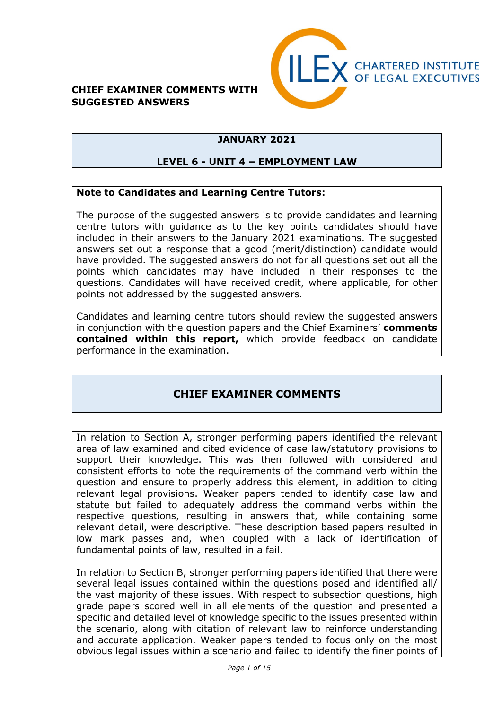#### **CHIEF EXAMINER COMMENTS WITH SUGGESTED ANSWERS**



### **JANUARY 2021**

#### **LEVEL 6 - UNIT 4 – EMPLOYMENT LAW**

#### **Note to Candidates and Learning Centre Tutors:**

The purpose of the suggested answers is to provide candidates and learning centre tutors with guidance as to the key points candidates should have included in their answers to the January 2021 examinations. The suggested answers set out a response that a good (merit/distinction) candidate would have provided. The suggested answers do not for all questions set out all the points which candidates may have included in their responses to the questions. Candidates will have received credit, where applicable, for other points not addressed by the suggested answers.

Candidates and learning centre tutors should review the suggested answers in conjunction with the question papers and the Chief Examiners' **comments contained within this report,** which provide feedback on candidate performance in the examination.

### **CHIEF EXAMINER COMMENTS**

In relation to Section A, stronger performing papers identified the relevant area of law examined and cited evidence of case law/statutory provisions to support their knowledge. This was then followed with considered and consistent efforts to note the requirements of the command verb within the question and ensure to properly address this element, in addition to citing relevant legal provisions. Weaker papers tended to identify case law and statute but failed to adequately address the command verbs within the respective questions, resulting in answers that, while containing some relevant detail, were descriptive. These description based papers resulted in low mark passes and, when coupled with a lack of identification of fundamental points of law, resulted in a fail.

In relation to Section B, stronger performing papers identified that there were several legal issues contained within the questions posed and identified all/ the vast majority of these issues. With respect to subsection questions, high grade papers scored well in all elements of the question and presented a specific and detailed level of knowledge specific to the issues presented within the scenario, along with citation of relevant law to reinforce understanding and accurate application. Weaker papers tended to focus only on the most obvious legal issues within a scenario and failed to identify the finer points of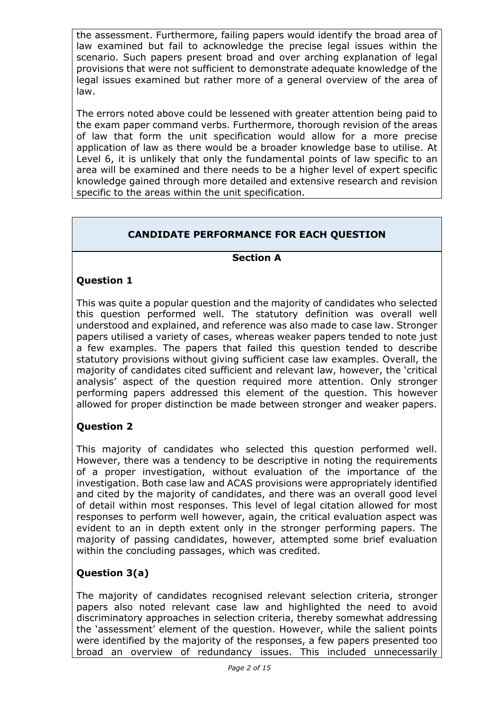the assessment. Furthermore, failing papers would identify the broad area of law examined but fail to acknowledge the precise legal issues within the scenario. Such papers present broad and over arching explanation of legal provisions that were not sufficient to demonstrate adequate knowledge of the legal issues examined but rather more of a general overview of the area of law.

The errors noted above could be lessened with greater attention being paid to the exam paper command verbs. Furthermore, thorough revision of the areas of law that form the unit specification would allow for a more precise application of law as there would be a broader knowledge base to utilise. At Level 6, it is unlikely that only the fundamental points of law specific to an area will be examined and there needs to be a higher level of expert specific knowledge gained through more detailed and extensive research and revision specific to the areas within the unit specification.

# **CANDIDATE PERFORMANCE FOR EACH QUESTION**

### **Section A**

### **Question 1**

This was quite a popular question and the majority of candidates who selected this question performed well. The statutory definition was overall well understood and explained, and reference was also made to case law. Stronger papers utilised a variety of cases, whereas weaker papers tended to note just a few examples. The papers that failed this question tended to describe statutory provisions without giving sufficient case law examples. Overall, the majority of candidates cited sufficient and relevant law, however, the 'critical analysis' aspect of the question required more attention. Only stronger performing papers addressed this element of the question. This however allowed for proper distinction be made between stronger and weaker papers.

### **Question 2**

This majority of candidates who selected this question performed well. However, there was a tendency to be descriptive in noting the requirements of a proper investigation, without evaluation of the importance of the investigation. Both case law and ACAS provisions were appropriately identified and cited by the majority of candidates, and there was an overall good level of detail within most responses. This level of legal citation allowed for most responses to perform well however, again, the critical evaluation aspect was evident to an in depth extent only in the stronger performing papers. The majority of passing candidates, however, attempted some brief evaluation within the concluding passages, which was credited.

### **Question 3(a)**

The majority of candidates recognised relevant selection criteria, stronger papers also noted relevant case law and highlighted the need to avoid discriminatory approaches in selection criteria, thereby somewhat addressing the 'assessment' element of the question. However, while the salient points were identified by the majority of the responses, a few papers presented too broad an overview of redundancy issues. This included unnecessarily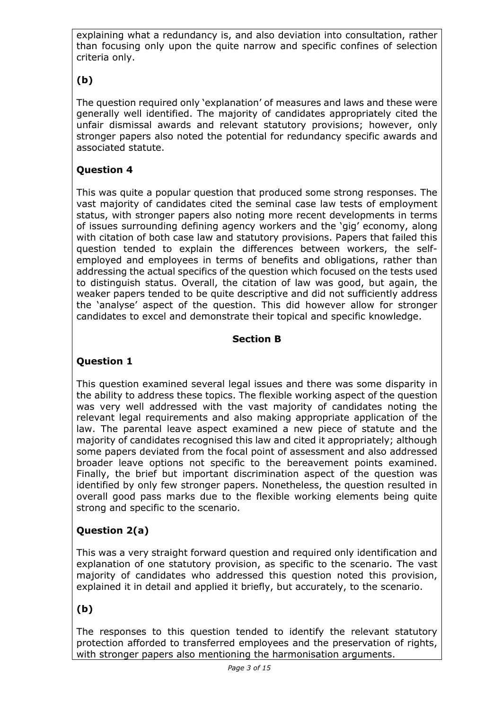explaining what a redundancy is, and also deviation into consultation, rather than focusing only upon the quite narrow and specific confines of selection criteria only.

# **(b)**

The question required only 'explanation' of measures and laws and these were generally well identified. The majority of candidates appropriately cited the unfair dismissal awards and relevant statutory provisions; however, only stronger papers also noted the potential for redundancy specific awards and associated statute.

## **Question 4**

This was quite a popular question that produced some strong responses. The vast majority of candidates cited the seminal case law tests of employment status, with stronger papers also noting more recent developments in terms of issues surrounding defining agency workers and the 'gig' economy, along with citation of both case law and statutory provisions. Papers that failed this question tended to explain the differences between workers, the selfemployed and employees in terms of benefits and obligations, rather than addressing the actual specifics of the question which focused on the tests used to distinguish status. Overall, the citation of law was good, but again, the weaker papers tended to be quite descriptive and did not sufficiently address the 'analyse' aspect of the question. This did however allow for stronger candidates to excel and demonstrate their topical and specific knowledge.

### **Section B**

## **Question 1**

This question examined several legal issues and there was some disparity in the ability to address these topics. The flexible working aspect of the question was very well addressed with the vast majority of candidates noting the relevant legal requirements and also making appropriate application of the law. The parental leave aspect examined a new piece of statute and the majority of candidates recognised this law and cited it appropriately; although some papers deviated from the focal point of assessment and also addressed broader leave options not specific to the bereavement points examined. Finally, the brief but important discrimination aspect of the question was identified by only few stronger papers. Nonetheless, the question resulted in overall good pass marks due to the flexible working elements being quite strong and specific to the scenario.

## **Question 2(a)**

This was a very straight forward question and required only identification and explanation of one statutory provision, as specific to the scenario. The vast majority of candidates who addressed this question noted this provision, explained it in detail and applied it briefly, but accurately, to the scenario.

## **(b)**

The responses to this question tended to identify the relevant statutory protection afforded to transferred employees and the preservation of rights, with stronger papers also mentioning the harmonisation arguments.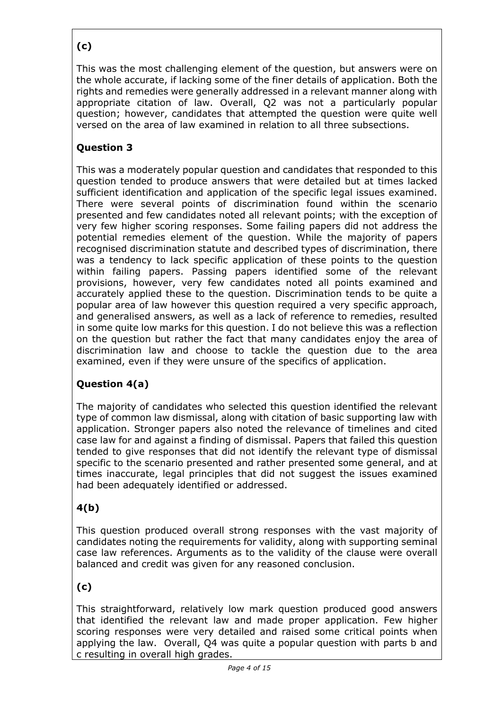# **(c)**

This was the most challenging element of the question, but answers were on the whole accurate, if lacking some of the finer details of application. Both the rights and remedies were generally addressed in a relevant manner along with appropriate citation of law. Overall, Q2 was not a particularly popular question; however, candidates that attempted the question were quite well versed on the area of law examined in relation to all three subsections.

## **Question 3**

This was a moderately popular question and candidates that responded to this question tended to produce answers that were detailed but at times lacked sufficient identification and application of the specific legal issues examined. There were several points of discrimination found within the scenario presented and few candidates noted all relevant points; with the exception of very few higher scoring responses. Some failing papers did not address the potential remedies element of the question. While the majority of papers recognised discrimination statute and described types of discrimination, there was a tendency to lack specific application of these points to the question within failing papers. Passing papers identified some of the relevant provisions, however, very few candidates noted all points examined and accurately applied these to the question. Discrimination tends to be quite a popular area of law however this question required a very specific approach, and generalised answers, as well as a lack of reference to remedies, resulted in some quite low marks for this question. I do not believe this was a reflection on the question but rather the fact that many candidates enjoy the area of discrimination law and choose to tackle the question due to the area examined, even if they were unsure of the specifics of application.

## **Question 4(a)**

The majority of candidates who selected this question identified the relevant type of common law dismissal, along with citation of basic supporting law with application. Stronger papers also noted the relevance of timelines and cited case law for and against a finding of dismissal. Papers that failed this question tended to give responses that did not identify the relevant type of dismissal specific to the scenario presented and rather presented some general, and at times inaccurate, legal principles that did not suggest the issues examined had been adequately identified or addressed.

# **4(b)**

This question produced overall strong responses with the vast majority of candidates noting the requirements for validity, along with supporting seminal case law references. Arguments as to the validity of the clause were overall balanced and credit was given for any reasoned conclusion.

## **(c)**

This straightforward, relatively low mark question produced good answers that identified the relevant law and made proper application. Few higher scoring responses were very detailed and raised some critical points when applying the law. Overall, Q4 was quite a popular question with parts b and c resulting in overall high grades.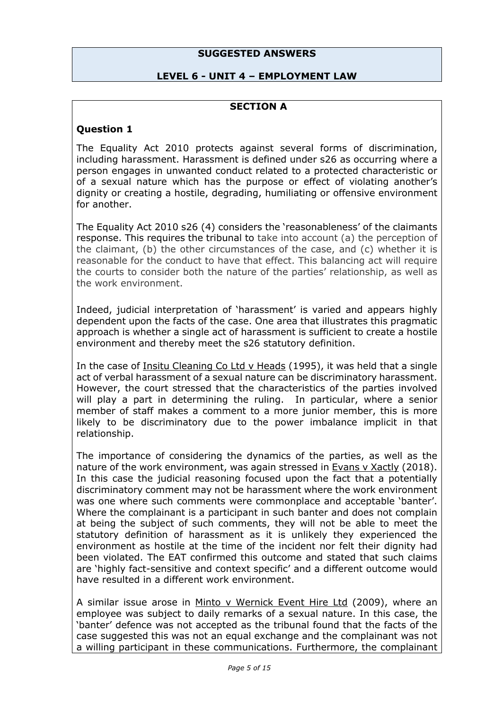#### **SUGGESTED ANSWERS**

#### **LEVEL 6 - UNIT 4 – EMPLOYMENT LAW**

#### **SECTION A**

#### **Question 1**

The Equality Act 2010 protects against several forms of discrimination, including harassment. Harassment is defined under s26 as occurring where a person engages in unwanted conduct related to a protected characteristic or of a sexual nature which has the purpose or effect of violating another's dignity or creating a hostile, degrading, humiliating or offensive environment for another.

The Equality Act 2010 s26 (4) considers the 'reasonableness' of the claimants response. This requires the tribunal to take into account (a) the perception of the claimant, (b) the other circumstances of the case, and (c) whether it is reasonable for the conduct to have that effect. This balancing act will require the courts to consider both the nature of the parties' relationship, as well as the work environment.

Indeed, judicial interpretation of 'harassment' is varied and appears highly dependent upon the facts of the case. One area that illustrates this pragmatic approach is whether a single act of harassment is sufficient to create a hostile environment and thereby meet the s26 statutory definition.

In the case of Insitu Cleaning Co Ltd v Heads (1995), it was held that a single act of verbal harassment of a sexual nature can be discriminatory harassment. However, the court stressed that the characteristics of the parties involved will play a part in determining the ruling. In particular, where a senior member of staff makes a comment to a more junior member, this is more likely to be discriminatory due to the power imbalance implicit in that relationship.

The importance of considering the dynamics of the parties, as well as the nature of the work environment, was again stressed in Evans v Xactly (2018). In this case the judicial reasoning focused upon the fact that a potentially discriminatory comment may not be harassment where the work environment was one where such comments were commonplace and acceptable 'banter'. Where the complainant is a participant in such banter and does not complain at being the subject of such comments, they will not be able to meet the statutory definition of harassment as it is unlikely they experienced the environment as hostile at the time of the incident nor felt their dignity had been violated. The EAT confirmed this outcome and stated that such claims are 'highly fact-sensitive and context specific' and a different outcome would have resulted in a different work environment.

A similar issue arose in Minto v Wernick Event Hire Ltd (2009), where an employee was subject to daily remarks of a sexual nature. In this case, the 'banter' defence was not accepted as the tribunal found that the facts of the case suggested this was not an equal exchange and the complainant was not a willing participant in these communications. Furthermore, the complainant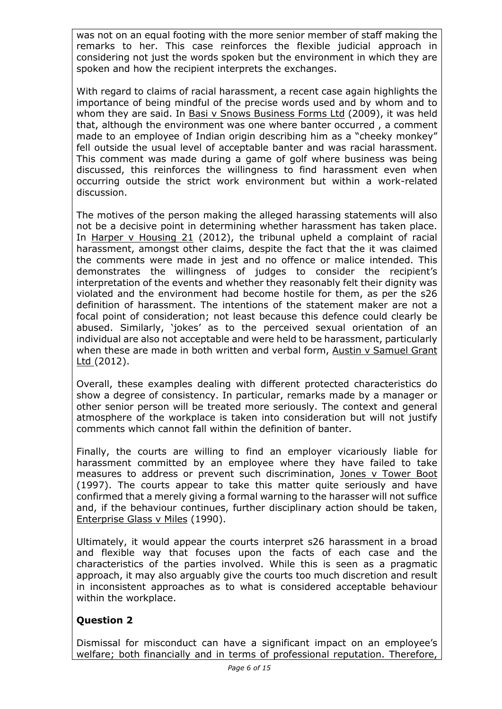was not on an equal footing with the more senior member of staff making the remarks to her. This case reinforces the flexible judicial approach in considering not just the words spoken but the environment in which they are spoken and how the recipient interprets the exchanges.

With regard to claims of racial harassment, a recent case again highlights the importance of being mindful of the precise words used and by whom and to whom they are said. In [Basi v Snows Business Forms Ltd](http://www.xperthr.co.uk/law-reports/race-discrimination-gbp2000-for-monkey-comment-made-to-indian-employee-during-golf-game/151340/?c=1844?cmpid=ILC|PROF|HRPIO-2013-110-XHR_free_content_links|ptod_article&sfid=701w0000000uNMa) (2009), it was held that, although the environment was one where banter occurred , a comment made to an employee of Indian origin describing him as a "cheeky monkey" fell outside the usual level of acceptable banter and was racial harassment. This comment was made during a game of golf where business was being discussed, this reinforces the willingness to find harassment even when occurring outside the strict work environment but within a work-related discussion.

The motives of the person making the alleged harassing statements will also not be a decisive point in determining whether harassment has taken place. In [Harper v Housing 21](http://www.xperthr.co.uk/law-reports/race-discrimination-line-manager-repeatedly-likened-irish-worker-to-my-big-fat-gypsy-wedding-characters/152345?c=1844?cmpid=ILC|PROF|HRPIO-2013-110-XHR_free_content_links|ptod_article&sfid=701w0000000uNMa) (2012), the tribunal upheld a complaint of racial harassment, amongst other claims, despite the fact that the it was claimed the comments were made in jest and no offence or malice intended. This demonstrates the willingness of judges to consider the recipient's interpretation of the events and whether they reasonably felt their dignity was violated and the environment had become hostile for them, as per the s26 definition of harassment. The intentions of the statement maker are not a focal point of consideration; not least because this defence could clearly be abused. Similarly, 'jokes' as to the perceived sexual orientation of an individual are also not acceptable and were held to be harassment, particularly when these are made in both written and verbal form, Austin v Samuel Grant Ltd (2012).

Overall, these examples dealing with different protected characteristics do show a degree of consistency. In particular, remarks made by a manager or other senior person will be treated more seriously. The context and general atmosphere of the workplace is taken into consideration but will not justify comments which cannot fall within the definition of banter.

Finally, the courts are willing to find an employer vicariously liable for harassment committed by an employee where they have failed to take measures to address or prevent such discrimination, Jones v Tower Boot (1997). The courts appear to take this matter quite seriously and have confirmed that a merely giving a formal warning to the harasser will not suffice and, if the behaviour continues, further disciplinary action should be taken, Enterprise Glass v Miles (1990).

Ultimately, it would appear the courts interpret s26 harassment in a broad and flexible way that focuses upon the facts of each case and the characteristics of the parties involved. While this is seen as a pragmatic approach, it may also arguably give the courts too much discretion and result in inconsistent approaches as to what is considered acceptable behaviour within the workplace.

## **Question 2**

Dismissal for misconduct can have a significant impact on an employee's welfare; both financially and in terms of professional reputation. Therefore,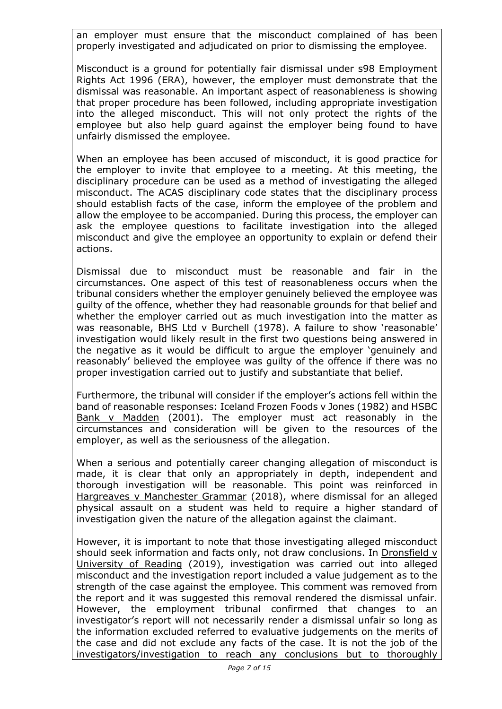an employer must ensure that the misconduct complained of has been properly investigated and adjudicated on prior to dismissing the employee.

Misconduct is a ground for potentially fair dismissal under s98 Employment Rights Act 1996 (ERA), however, the employer must demonstrate that the dismissal was reasonable. An important aspect of reasonableness is showing that proper procedure has been followed, including appropriate investigation into the alleged misconduct. This will not only protect the rights of the employee but also help guard against the employer being found to have unfairly dismissed the employee.

When an employee has been accused of misconduct, it is good practice for the employer to invite that employee to a meeting. At this meeting, the disciplinary procedure can be used as a method of investigating the alleged misconduct. The ACAS disciplinary code states that the disciplinary process should establish facts of the case, inform the employee of the problem and allow the employee to be accompanied. During this process, the employer can ask the employee questions to facilitate investigation into the alleged misconduct and give the employee an opportunity to explain or defend their actions.

Dismissal due to misconduct must be reasonable and fair in the circumstances. One aspect of this test of reasonableness occurs when the tribunal considers whether the employer genuinely believed the employee was guilty of the offence, whether they had reasonable grounds for that belief and whether the employer carried out as much investigation into the matter as was reasonable, BHS Ltd v Burchell (1978). A failure to show 'reasonable' investigation would likely result in the first two questions being answered in the negative as it would be difficult to argue the employer 'genuinely and reasonably' believed the employee was guilty of the offence if there was no proper investigation carried out to justify and substantiate that belief.

Furthermore, the tribunal will consider if the employer's actions fell within the band of reasonable responses: Iceland Frozen Foods v Jones (1982) and HSBC Bank v Madden (2001). The employer must act reasonably in the circumstances and consideration will be given to the resources of the employer, as well as the seriousness of the allegation.

When a serious and potentially career changing allegation of misconduct is made, it is clear that only an appropriately in depth, independent and thorough investigation will be reasonable. This point was reinforced in Hargreaves v Manchester Grammar (2018), where dismissal for an alleged physical assault on a student was held to require a higher standard of investigation given the nature of the allegation against the claimant.

However, it is important to note that those investigating alleged misconduct should seek information and facts only, not draw conclusions. In Dronsfield v University of Reading (2019), investigation was carried out into alleged misconduct and the investigation report included a value judgement as to the strength of the case against the employee. This comment was removed from the report and it was suggested this removal rendered the dismissal unfair. However, the employment tribunal confirmed that changes to an investigator's report will not necessarily render a dismissal unfair so long as the information excluded referred to evaluative judgements on the merits of the case and did not exclude any facts of the case. It is not the job of the investigators/investigation to reach any conclusions but to thoroughly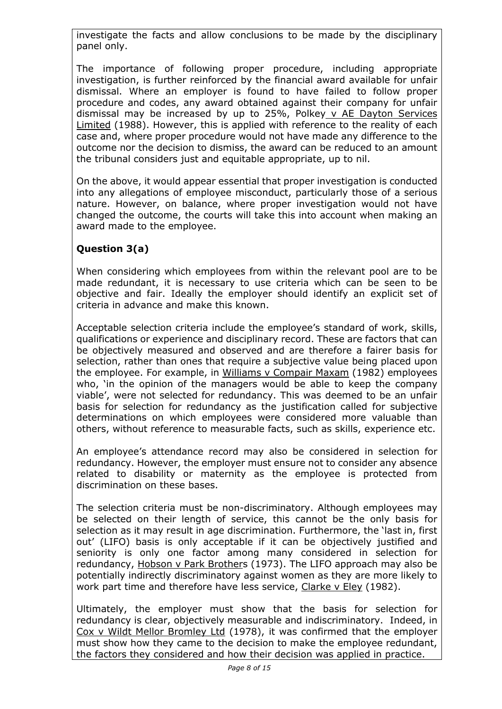investigate the facts and allow conclusions to be made by the disciplinary panel only.

The importance of following proper procedure, including appropriate investigation, is further reinforced by the financial award available for unfair dismissal. Where an employer is found to have failed to follow proper procedure and codes, any award obtained against their company for unfair dismissal may be increased by up to 25%, Polkey v AE Dayton Services Limited (1988). However, this is applied with reference to the reality of each case and, where proper procedure would not have made any difference to the outcome nor the decision to dismiss, the award can be reduced to an amount the tribunal considers just and equitable appropriate, up to nil.

On the above, it would appear essential that proper investigation is conducted into any allegations of employee misconduct, particularly those of a serious nature. However, on balance, where proper investigation would not have changed the outcome, the courts will take this into account when making an award made to the employee.

## **Question 3(a)**

When considering which employees from within the relevant pool are to be made redundant, it is necessary to use criteria which can be seen to be objective and fair. Ideally the employer should identify an explicit set of criteria in advance and make this known.

Acceptable selection criteria include the employee's standard of work, skills, qualifications or experience and disciplinary record. These are factors that can be objectively measured and observed and are therefore a fairer basis for selection, rather than ones that require a subjective value being placed upon the employee. For example, in Williams v Compair Maxam (1982) employees who, 'in the opinion of the managers would be able to keep the company viable', were not selected for redundancy. This was deemed to be an unfair basis for selection for redundancy as the justification called for subjective determinations on which employees were considered more valuable than others, without reference to measurable facts, such as skills, experience etc.

An employee's attendance record may also be considered in selection for redundancy. However, the employer must ensure not to consider any absence related to disability or maternity as the employee is protected from discrimination on these bases.

The selection criteria must be non-discriminatory. Although employees may be selected on their length of service, this cannot be the only basis for selection as it may result in age discrimination. Furthermore, the 'last in, first out' (LIFO) basis is only acceptable if it can be objectively justified and seniority is only one factor among many considered in selection for redundancy, Hobson v Park Brothers (1973). The LIFO approach may also be potentially indirectly discriminatory against women as they are more likely to work part time and therefore have less service, Clarke v Eley (1982).

Ultimately, the employer must show that the basis for selection for redundancy is clear, objectively measurable and indiscriminatory. Indeed, in Cox v Wildt Mellor Bromley Ltd (1978), it was confirmed that the employer must show how they came to the decision to make the employee redundant, the factors they considered and how their decision was applied in practice.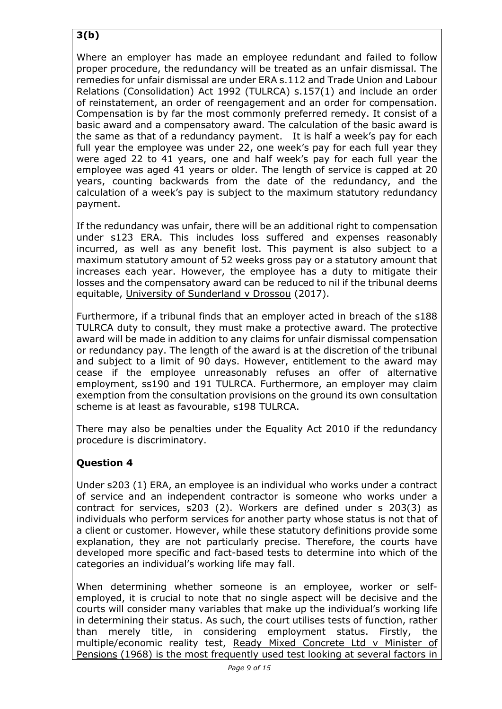# **3(b)**

Where an employer has made an employee redundant and failed to follow proper procedure, the redundancy will be treated as an unfair dismissal. The remedies for unfair dismissal are under ERA s.112 and Trade Union and Labour Relations (Consolidation) Act 1992 (TULRCA) s.157(1) and include an order of reinstatement, an order of reengagement and an order for compensation. Compensation is by far the most commonly preferred remedy. It consist of a basic award and a compensatory award. The calculation of the basic award is the same as that of a redundancy payment. It is half a week's pay for each full year the employee was under 22, one week's pay for each full year they were aged 22 to 41 years, one and half week's pay for each full year the employee was aged 41 years or older. The length of service is capped at 20 years, counting backwards from the date of the redundancy, and the calculation of a week's pay is subject to the maximum statutory redundancy payment.

If the redundancy was unfair, there will be an additional right to compensation under s123 ERA. This includes loss suffered and expenses reasonably incurred, as well as any benefit lost. This payment is also subject to a maximum statutory amount of 52 weeks gross pay or a statutory amount that increases each year. However, the employee has a duty to mitigate their losses and the compensatory award can be reduced to nil if the tribunal deems equitable, University of Sunderland v Drossou (2017).

Furthermore, if a tribunal finds that an employer acted in breach of the s188 TULRCA duty to consult, they must make a protective award. The protective award will be made in addition to any claims for unfair dismissal compensation or redundancy pay. The length of the award is at the discretion of the tribunal and subject to a limit of 90 days. However, entitlement to the award may cease if the employee unreasonably refuses an offer of alternative employment, ss190 and 191 TULRCA. Furthermore, an employer may claim exemption from the consultation provisions on the ground its own consultation scheme is at least as favourable, s198 TULRCA.

There may also be penalties under the Equality Act 2010 if the redundancy procedure is discriminatory.

## **Question 4**

Under s203 (1) ERA, an employee is an individual who works under a contract of service and an independent contractor is someone who works under a contract for services, s203 (2). Workers are defined under s 203(3) as individuals who perform services for another party whose status is not that of a client or customer. However, while these statutory definitions provide some explanation, they are not particularly precise. Therefore, the courts have developed more specific and fact-based tests to determine into which of the categories an individual's working life may fall.

When determining whether someone is an employee, worker or selfemployed, it is crucial to note that no single aspect will be decisive and the courts will consider many variables that make up the individual's working life in determining their status. As such, the court utilises tests of function, rather than merely title, in considering employment status. Firstly, the multiple/economic reality test, Ready Mixed Concrete Ltd v Minister of Pensions (1968) is the most frequently used test looking at several factors in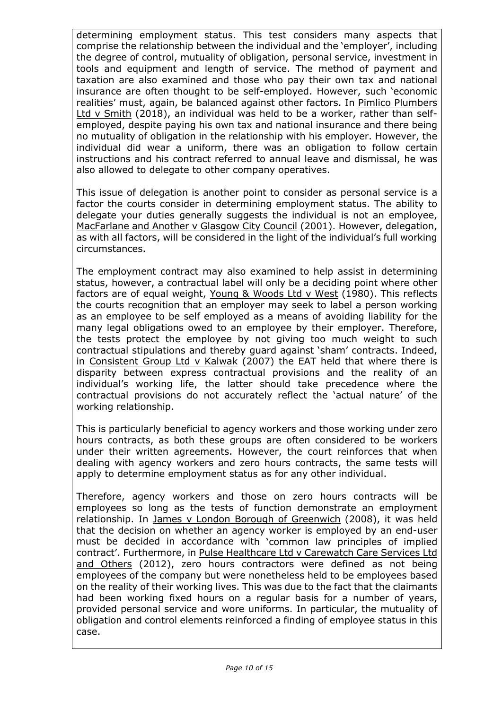determining employment status. This test considers many aspects that comprise the relationship between the individual and the 'employer', including the degree of control, mutuality of obligation, personal service, investment in tools and equipment and length of service. The method of payment and taxation are also examined and those who pay their own tax and national insurance are often thought to be self-employed. However, such 'economic realities' must, again, be balanced against other factors. In Pimlico Plumbers Ltd v Smith (2018), an individual was held to be a worker, rather than selfemployed, despite paying his own tax and national insurance and there being no mutuality of obligation in the relationship with his employer. However, the individual did wear a uniform, there was an obligation to follow certain instructions and his contract referred to annual leave and dismissal, he was also allowed to delegate to other company operatives.

This issue of delegation is another point to consider as personal service is a factor the courts consider in determining employment status. The ability to delegate your duties generally suggests the individual is not an employee, MacFarlane and Another v Glasgow City Council (2001). However, delegation, as with all factors, will be considered in the light of the individual's full working circumstances.

The employment contract may also examined to help assist in determining status, however, a contractual label will only be a deciding point where other factors are of equal weight, Young & Woods Ltd v West (1980). This reflects the courts recognition that an employer may seek to label a person working as an employee to be self employed as a means of avoiding liability for the many legal obligations owed to an employee by their employer. Therefore, the tests protect the employee by not giving too much weight to such contractual stipulations and thereby guard against 'sham' contracts. Indeed, in Consistent Group Ltd v Kalwak (2007) the EAT held that where there is disparity between express contractual provisions and the reality of an individual's working life, the latter should take precedence where the contractual provisions do not accurately reflect the 'actual nature' of the working relationship.

This is particularly beneficial to agency workers and those working under zero hours contracts, as both these groups are often considered to be workers under their written agreements. However, the court reinforces that when dealing with agency workers and zero hours contracts, the same tests will apply to determine employment status as for any other individual.

Therefore, agency workers and those on zero hours contracts will be employees so long as the tests of function demonstrate an employment relationship. In James v London Borough of Greenwich (2008), it was held that the decision on whether an agency worker is employed by an end-user must be decided in accordance with 'common law principles of implied contract'. Furthermore, in Pulse Healthcare Ltd v Carewatch Care Services Ltd and Others (2012), zero hours contractors were defined as not being employees of the company but were nonetheless held to be employees based on the reality of their working lives. This was due to the fact that the claimants had been working fixed hours on a regular basis for a number of years, provided personal service and wore uniforms. In particular, the mutuality of obligation and control elements reinforced a finding of employee status in this case.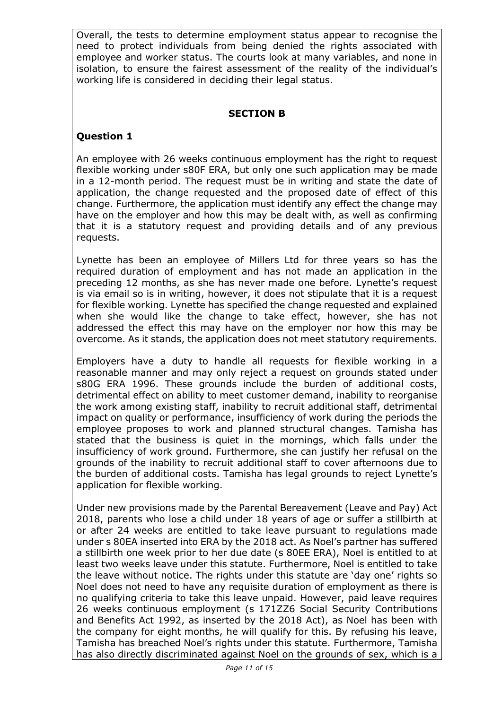Overall, the tests to determine employment status appear to recognise the need to protect individuals from being denied the rights associated with employee and worker status. The courts look at many variables, and none in isolation, to ensure the fairest assessment of the reality of the individual's working life is considered in deciding their legal status.

#### **SECTION B**

#### **Question 1**

An employee with 26 weeks continuous employment has the right to request flexible working under s80F ERA, but only one such application may be made in a 12-month period. The request must be in writing and state the date of application, the change requested and the proposed date of effect of this change. Furthermore, the application must identify any effect the change may have on the employer and how this may be dealt with, as well as confirming that it is a statutory request and providing details and of any previous requests.

Lynette has been an employee of Millers Ltd for three years so has the required duration of employment and has not made an application in the preceding 12 months, as she has never made one before. Lynette's request is via email so is in writing, however, it does not stipulate that it is a request for flexible working. Lynette has specified the change requested and explained when she would like the change to take effect, however, she has not addressed the effect this may have on the employer nor how this may be overcome. As it stands, the application does not meet statutory requirements.

Employers have a duty to handle all requests for flexible working in a reasonable manner and may only reject a request on grounds stated under s80G ERA 1996. These grounds include the burden of additional costs, detrimental effect on ability to meet customer demand, inability to reorganise the work among existing staff, inability to recruit additional staff, detrimental impact on quality or performance, insufficiency of work during the periods the employee proposes to work and planned structural changes. Tamisha has stated that the business is quiet in the mornings, which falls under the insufficiency of work ground. Furthermore, she can justify her refusal on the grounds of the inability to recruit additional staff to cover afternoons due to the burden of additional costs. Tamisha has legal grounds to reject Lynette's application for flexible working.

Under new provisions made by the Parental Bereavement (Leave and Pay) Act 2018, parents who lose a child under 18 years of age or suffer a stillbirth at or after 24 weeks are entitled to take leave pursuant to regulations made under s 80EA inserted into ERA by the 2018 act. As Noel's partner has suffered a stillbirth one week prior to her due date (s 80EE ERA), Noel is entitled to at least two weeks leave under this statute. Furthermore, Noel is entitled to take the leave without notice. The rights under this statute are 'day one' rights so Noel does not need to have any requisite duration of employment as there is no qualifying criteria to take this leave unpaid. However, paid leave requires 26 weeks continuous employment (s 171ZZ6 Social Security Contributions and Benefits Act 1992, as inserted by the 2018 Act), as Noel has been with the company for eight months, he will qualify for this. By refusing his leave, Tamisha has breached Noel's rights under this statute. Furthermore, Tamisha has also directly discriminated against Noel on the grounds of sex, which is a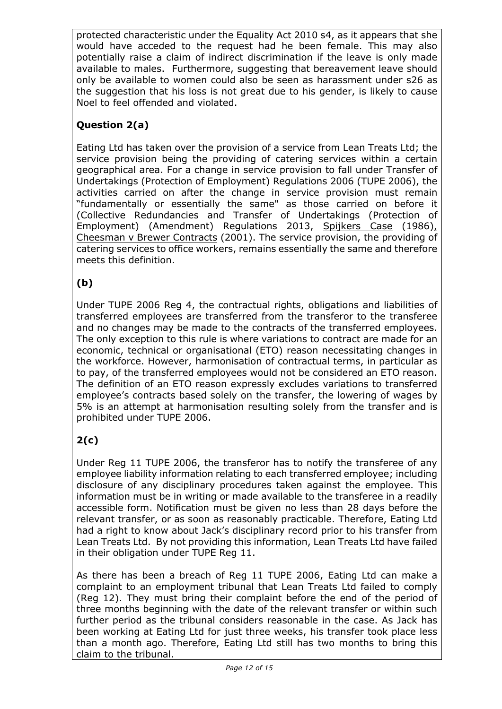protected characteristic under the Equality Act 2010 s4, as it appears that she would have acceded to the request had he been female. This may also potentially raise a claim of indirect discrimination if the leave is only made available to males. Furthermore, suggesting that bereavement leave should only be available to women could also be seen as harassment under s26 as the suggestion that his loss is not great due to his gender, is likely to cause Noel to feel offended and violated.

# **Question 2(a)**

Eating Ltd has taken over the provision of a service from Lean Treats Ltd; the service provision being the providing of catering services within a certain geographical area. For a change in service provision to fall under Transfer of Undertakings (Protection of Employment) Regulations 2006 (TUPE 2006), the activities carried on after the change in service provision must remain "fundamentally or essentially the same" as those carried on before it (Collective Redundancies and Transfer of Undertakings (Protection of Employment) (Amendment) Regulations 2013, Spijkers Case (1986), Cheesman v Brewer Contracts (2001). The service provision, the providing of catering services to office workers, remains essentially the same and therefore meets this definition.

## **(b)**

Under TUPE 2006 Reg 4, the contractual rights, obligations and liabilities of transferred employees are transferred from the transferor to the transferee and no changes may be made to the contracts of the transferred employees. The only exception to this rule is where variations to contract are made for an economic, technical or organisational (ETO) reason necessitating changes in the workforce. However, harmonisation of contractual terms, in particular as to pay, of the transferred employees would not be considered an ETO reason. The definition of an ETO reason expressly excludes variations to transferred employee's contracts based solely on the transfer, the lowering of wages by 5% is an attempt at harmonisation resulting solely from the transfer and is prohibited under TUPE 2006.

# **2(c)**

Under Reg 11 TUPE 2006, the transferor has to notify the transferee of any employee liability information relating to each transferred employee; including disclosure of any disciplinary procedures taken against the employee. This information must be in writing or made available to the transferee in a readily accessible form. Notification must be given no less than 28 days before the relevant transfer, or as soon as reasonably practicable. Therefore, Eating Ltd had a right to know about Jack's disciplinary record prior to his transfer from Lean Treats Ltd. By not providing this information, Lean Treats Ltd have failed in their obligation under TUPE Reg 11.

As there has been a breach of Reg 11 TUPE 2006, Eating Ltd can make a complaint to an employment tribunal that Lean Treats Ltd failed to comply (Reg 12). They must bring their complaint before the end of the period of three months beginning with the date of the relevant transfer or within such further period as the tribunal considers reasonable in the case. As Jack has been working at Eating Ltd for just three weeks, his transfer took place less than a month ago. Therefore, Eating Ltd still has two months to bring this claim to the tribunal.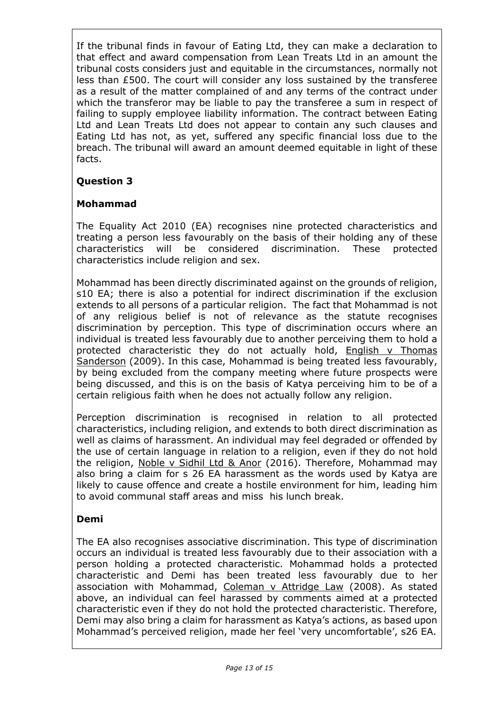If the tribunal finds in favour of Eating Ltd, they can make a declaration to that effect and award compensation from Lean Treats Ltd in an amount the tribunal costs considers just and equitable in the circumstances, normally not less than £500. The court will consider any loss sustained by the transferee as a result of the matter complained of and any terms of the contract under which the transferor may be liable to pay the transferee a sum in respect of failing to supply employee liability information. The contract between Eating Ltd and Lean Treats Ltd does not appear to contain any such clauses and Eating Ltd has not, as yet, suffered any specific financial loss due to the breach. The tribunal will award an amount deemed equitable in light of these facts.

### **Question 3**

### **Mohammad**

The Equality Act 2010 (EA) recognises nine protected characteristics and treating a person less favourably on the basis of their holding any of these characteristics will be considered discrimination. These protected characteristics include religion and sex.

Mohammad has been directly discriminated against on the grounds of religion, s10 EA; there is also a potential for indirect discrimination if the exclusion extends to all persons of a particular religion. The fact that Mohammad is not of any religious belief is not of relevance as the statute recognises discrimination by perception. This type of discrimination occurs where an individual is treated less favourably due to another perceiving them to hold a protected characteristic they do not actually hold, **English y Thomas** Sanderson (2009). In this case, Mohammad is being treated less favourably, by being excluded from the company meeting where future prospects were being discussed, and this is on the basis of Katya perceiving him to be of a certain religious faith when he does not actually follow any religion.

Perception discrimination is recognised in relation to all protected characteristics, including religion, and extends to both direct discrimination as well as claims of harassment. An individual may feel degraded or offended by the use of certain language in relation to a religion, even if they do not hold the religion, Noble v Sidhil Ltd & Anor (2016). Therefore, Mohammad may also bring a claim for s 26 EA harassment as the words used by Katya are likely to cause offence and create a hostile environment for him, leading him to avoid communal staff areas and miss his lunch break.

#### **Demi**

The EA also recognises associative discrimination. This type of discrimination occurs an individual is treated less favourably due to their association with a person holding a protected characteristic. Mohammad holds a protected characteristic and Demi has been treated less favourably due to her association with Mohammad, Coleman v Attridge Law (2008). As stated above, an individual can feel harassed by comments aimed at a protected characteristic even if they do not hold the protected characteristic. Therefore, Demi may also bring a claim for harassment as Katya's actions, as based upon Mohammad's perceived religion, made her feel 'very uncomfortable', s26 EA.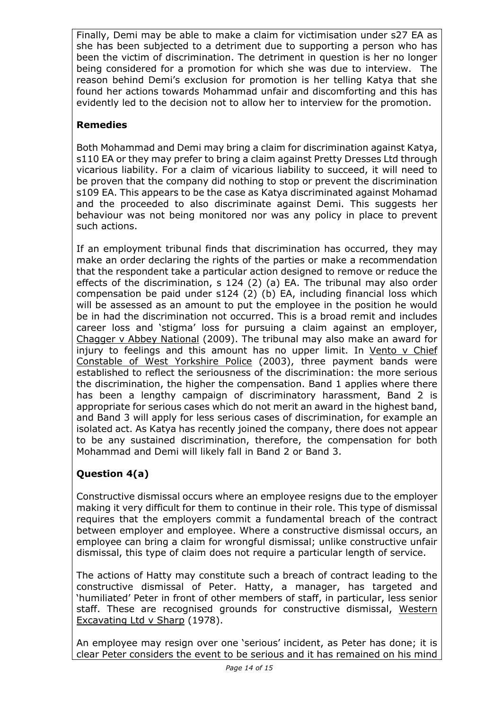Finally, Demi may be able to make a claim for victimisation under s27 EA as she has been subjected to a detriment due to supporting a person who has been the victim of discrimination. The detriment in question is her no longer being considered for a promotion for which she was due to interview. The reason behind Demi's exclusion for promotion is her telling Katya that she found her actions towards Mohammad unfair and discomforting and this has evidently led to the decision not to allow her to interview for the promotion.

## **Remedies**

Both Mohammad and Demi may bring a claim for discrimination against Katya, s110 EA or they may prefer to bring a claim against Pretty Dresses Ltd through vicarious liability. For a claim of vicarious liability to succeed, it will need to be proven that the company did nothing to stop or prevent the discrimination s109 EA. This appears to be the case as Katya discriminated against Mohamad and the proceeded to also discriminate against Demi. This suggests her behaviour was not being monitored nor was any policy in place to prevent such actions.

If an employment tribunal finds that discrimination has occurred, they may make an order declaring the rights of the parties or make a recommendation that the respondent take a particular action designed to remove or reduce the effects of the discrimination, s 124 (2) (a) EA. The tribunal may also order compensation be paid under s124 (2) (b) EA, including financial loss which will be assessed as an amount to put the employee in the position he would be in had the discrimination not occurred. This is a broad remit and includes career loss and 'stigma' loss for pursuing a claim against an employer, Chagger v Abbey National (2009). The tribunal may also make an award for injury to feelings and this amount has no upper limit. In Vento v Chief Constable of West Yorkshire Police (2003), three payment bands were established to reflect the seriousness of the discrimination: the more serious the discrimination, the higher the compensation. Band 1 applies where there has been a lengthy campaign of discriminatory harassment, Band 2 is appropriate for serious cases which do not merit an award in the highest band, and Band 3 will apply for less serious cases of discrimination, for example an isolated act. As Katya has recently joined the company, there does not appear to be any sustained discrimination, therefore, the compensation for both Mohammad and Demi will likely fall in Band 2 or Band 3.

# **Question 4(a)**

Constructive dismissal occurs where an employee resigns due to the employer making it very difficult for them to continue in their role. This type of dismissal requires that the employers commit a fundamental breach of the contract between employer and employee. Where a constructive dismissal occurs, an employee can bring a claim for wrongful dismissal; unlike constructive unfair dismissal, this type of claim does not require a particular length of service.

The actions of Hatty may constitute such a breach of contract leading to the constructive dismissal of Peter. Hatty, a manager, has targeted and 'humiliated' Peter in front of other members of staff, in particular, less senior staff. These are recognised grounds for constructive dismissal, Western Excavating Ltd v Sharp (1978).

An employee may resign over one 'serious' incident, as Peter has done; it is clear Peter considers the event to be serious and it has remained on his mind